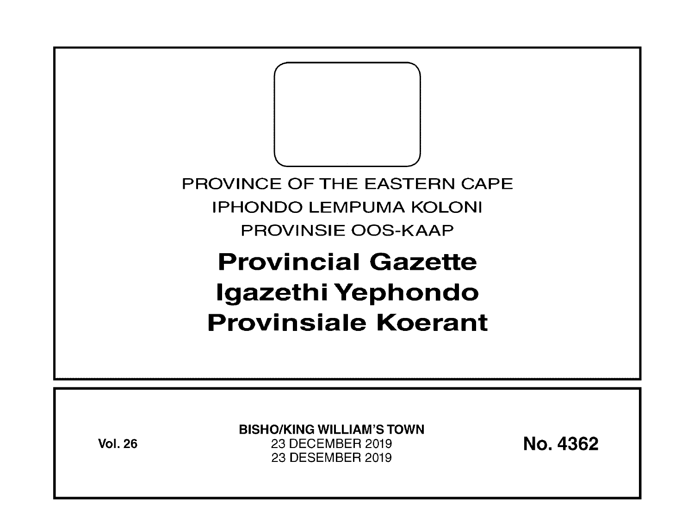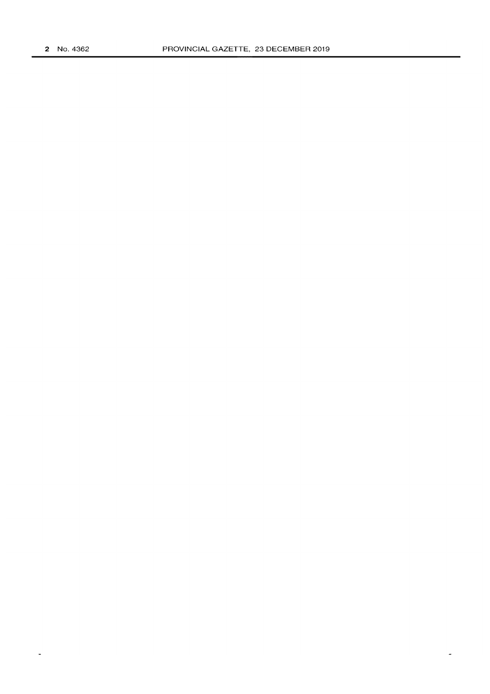$\Box$ 

 $\overline{\phantom{a}}$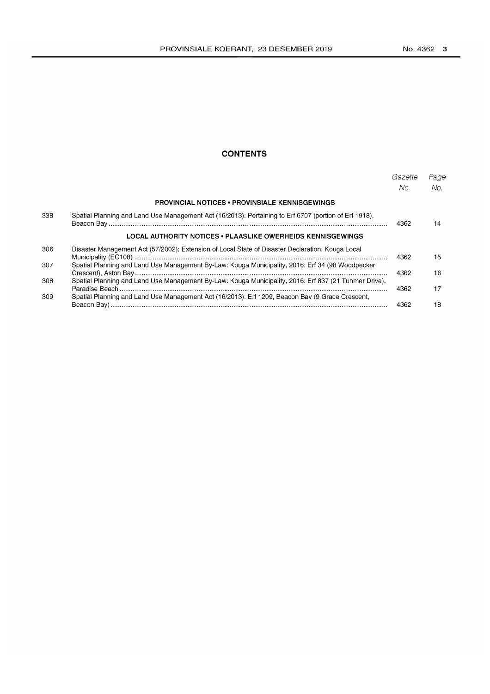#### **CONTENTS**

|     |                                                                                                       | Gazette<br>No. | Page<br>No. |
|-----|-------------------------------------------------------------------------------------------------------|----------------|-------------|
|     | <b>PROVINCIAL NOTICES • PROVINSIALE KENNISGEWINGS</b>                                                 |                |             |
| 338 | Spatial Planning and Land Use Management Act (16/2013): Pertaining to Erf 6707 (portion of Erf 1918), | 4362           | 14          |
|     | LOCAL AUTHORITY NOTICES • PLAASLIKE OWERHEIDS KENNISGEWINGS                                           |                |             |
| 306 | Disaster Management Act (57/2002): Extension of Local State of Disaster Declaration: Kouga Local      | 4362           | 15          |
| 307 | Spatial Planning and Land Use Management By-Law: Kouga Municipality, 2016: Erf 34 (98 Woodpecker      | 4362           | 16          |
| 308 | Spatial Planning and Land Use Management By-Law: Kouga Municipality, 2016: Erf 837 (21 Tunmer Drive), | 4362           | 17          |
| 309 | Spatial Planning and Land Use Management Act (16/2013): Erf 1209, Beacon Bay (9 Grace Crescent,       | 4362           | 18          |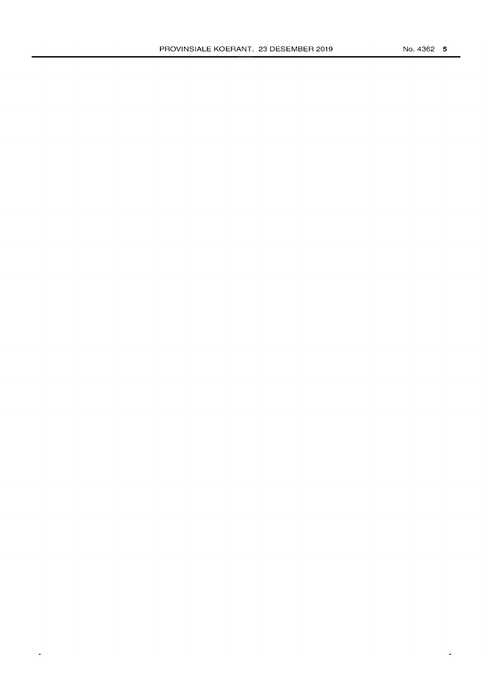$\ddot{\phantom{a}}$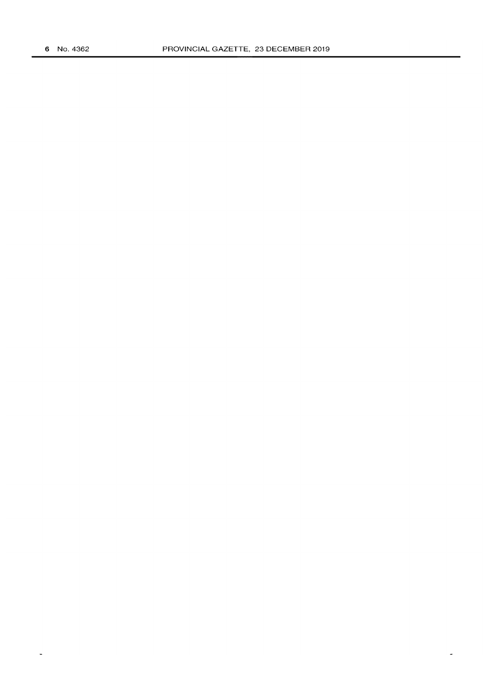$\overline{a}$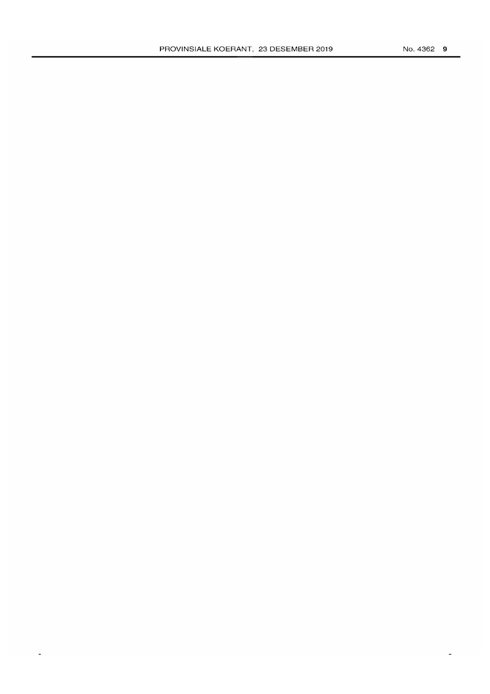$\ddot{\phantom{a}}$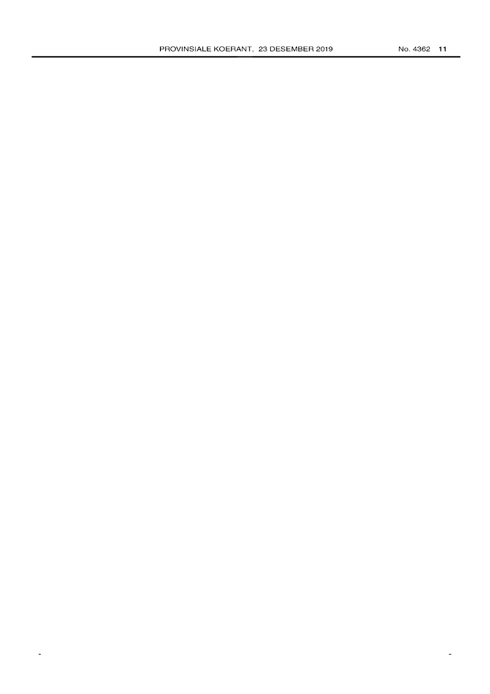$\ddot{\phantom{a}}$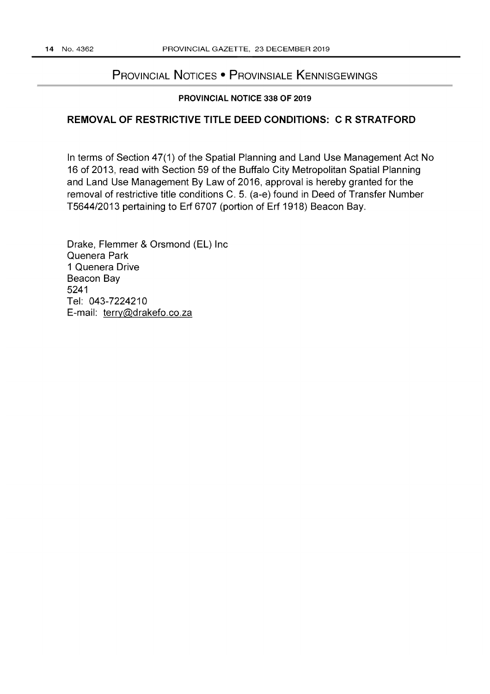## PROVINCIAL NOTICES • PROVINSIALE KENNISGEWINGS

#### PROVINCIAL NOTICE 338 **OF** 2019

## **REMOVAL OF RESTRICTIVE TITLE DEED CONDITIONS: C R STRATFORD**

In terms of Section 47(1) of the Spatial Planning and Land Use Management Act No 16 of 2013, read with Section 59 of the Buffalo City Metropolitan Spatial Planning and Land Use Management By Law of 2016, approval is hereby granted for the removal of restrictive title conditions C. 5. (a-e) found in Deed of Transfer Number T5644/2013 pertaining to Erf 6707 (portion of Erf 1918) Beacon Bay.

Drake, Flemmer & Orsmond (EL) Inc Quenera Park 1 Quenera Drive Beacon Bay 5241 Tel: 043-7224210 E-mail: terry@drakefo.co.za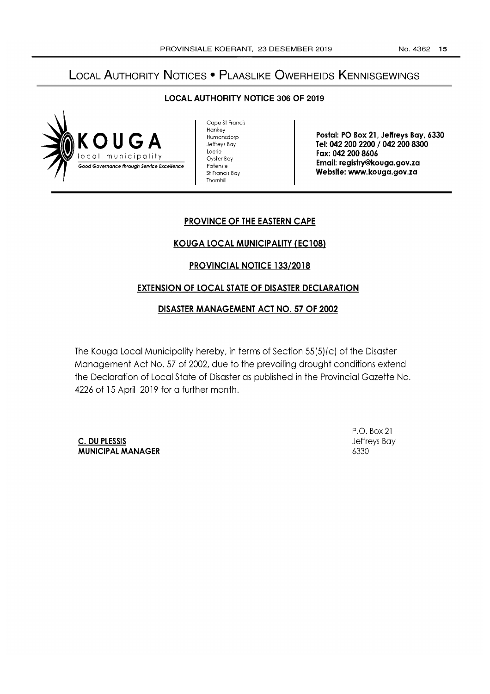# **LOCAL AUTHORITY NOTICES • PLAASLIKE OWERHEIDS KENNISGEWINGS**

#### **LOCAL AUTHORITY NOTICE 306 OF 2019**



Cape St Francis Hankey Humansdorp Jeffreys Bay Loerie Oyster Bay Thornhill

**Postal: PO Box 21, Jeffreys Bay, 6330 Tel: 042 200 2200 / 042 200 8300 Fax: 042 200 8606 Palensie Concernsie Concernsie Email: registry@kouga.gov.za**<br>Patensie Bay **Concernsier Concernsier Mebsite: www.kouga.gov.za** Website: www.kouga.gov.za

## **PROVINCE OF THE EASTERN CAPE**

## **KOUGA LOCAL MUNICIPALITY (EC108)**

## **PROVINCIAL NOTICE 133/2018**

## **EXTENSION OF LOCAL STATE OF DISASTER DECLARATION**

## **DISASTER MANAGEMENT ACT NO. 57 OF 2002**

The Kouga Local Municipality hereby, in terms of Section 55(5)(c) of the Disaster Management Act No. 57 of 2002, due to the prevailing drought conditions extend the Declaration of Local State of Disaster as published in the Provincial Gazette No. 4226 of 15 April 2019 for a further month.

**C. DU PLESSIS MUNICIPAL MANAGER**  P.O. Box 21 Jeffreys Bay 6330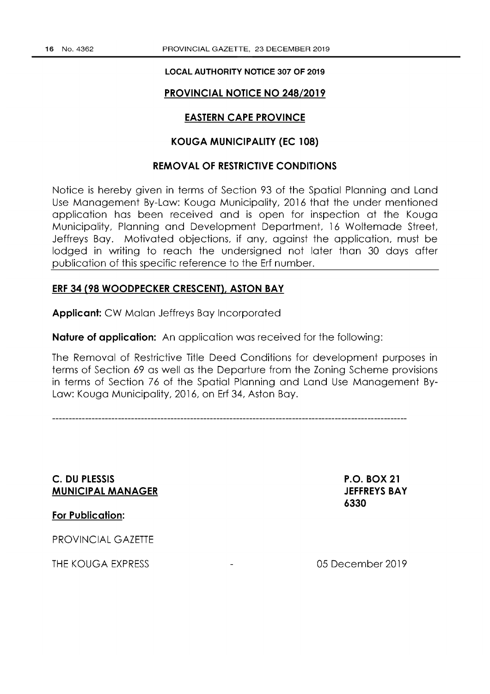#### **LOCAL AUTHORITY NOTICE 307 OF 2019**

#### **PROVINCIAL NOTICE NO 248/2019**

#### **EASTERN CAPE PROVINCE**

## **KOUGA MUNICIPALITY (EC 108)**

#### **REMOVAL OF RESTRICTIVE CONDITIONS**

Notice is hereby given in terms of Section 93 of the Spatial Planning and Land Use Management By-Law: Kouga Municipality, 2016 that the under mentioned application has been received and is open for inspection at the Kouga Municipality, Planning and Development Department, 16 Woltemade Street, Jeffreys Bay. Motivated objections, if any, against the application, must be lodged in writing to reach the undersigned not later than 30 days after publication of this specific reference to the Erf number.

#### **ERF 34 (98 WOODPECKER CRESCENT), ASTON BAY**

**Applicant:** CW Malan Jeffreys Bay Incorporated

**Nature of application:** An application was received for the following:

The Removal of Restrictive Title Deed Conditions for development purposes in terms of Section 69 as well as the Departure from the Zoning Scheme provisions in terms of Section 76 of the Spatial Planning and Land Use Management By-Law: Kouga Municipality, 2016, on Erf 34, Aston Bay.

**C. DU PLESSIS MUNICIPAL MANAGER**  **P.O. BOX 21 JEFFREYS BAY 6330** 

**For Publication:** 

PROVINCIAL GAZETTE

THE KOUGA EXPRESS

05 December 2019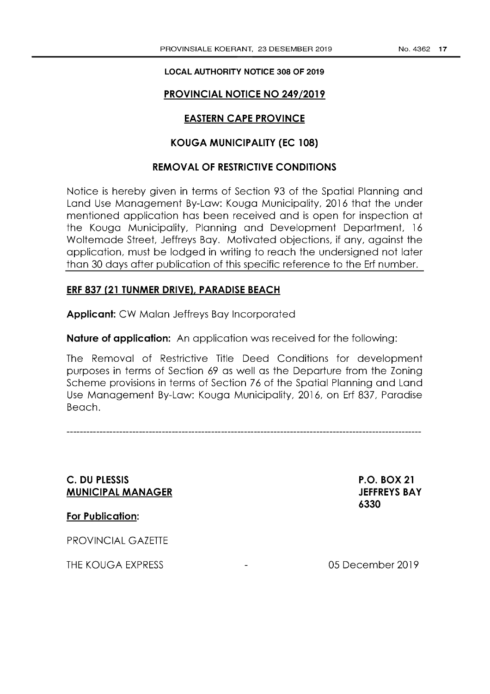#### **LOCAL AUTHORITY NOTICE 308 OF 2019**

## **PROVINCIAL NOTICE NO 249/2019**

## **EASTERN CAPE PROVINCE**

## **KOUGA MUNICIPALITY (EC 108)**

## **REMOVAL OF RESTRICTIVE CONDITIONS**

Notice is hereby given in terms of Section 93 of the Spatial Planning and Land Use Management By-Law: Kouga Municipality, 2016 that the under mentioned application has been received and is open for inspection at the Kouga Municipality, Planning and Development Department, 16 Woltemade Street, Jeffreys Bay. Motivated objections, if any, against the application, must be lodged in writing to reach the undersigned not later than 30 days after publication of this specific reference to the Erf number.

## **ERF 837 (21 TUNMER DRIVE), PARADISE BEACH**

**Applicant:** CW Malan Jeffreys Bay Incorporated

**Nature of application:** An application was received for the following:

The Removal of Restrictive Title Deed Conditions for development purposes in terms of Section 69 as well as the Departure from the Zoning Scheme provisions in terms of Section 76 of the Spatial Planning and Land Use Management By-Law: Kouga Municipality, 2016, on Erf 837, Paradise Beach.

**C. DU PLESSIS MUNICIPAL MANAGER**  **P.O. BOX 21 JEFFREYS BAY 6330** 

**For Publication:** 

PROVINCIAL GAZETTE

THE KOUGA EXPRESS

05 December 2019